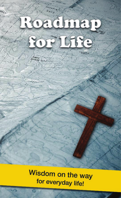Wisdom on the way for everyday life!

mag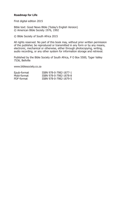#### **Roadmap for Life**

First digital edition 2015

Bible text: Good News Bible (Today's English Version) © American Bible Society 1976, 1992

© Bible Society of South Africa 2015

All rights reserved. No part of this book may, without prior written permission of the publisher, be reproduced or transmitted in any form or by any means, electronic, mechanical or otherwise, either through photocopying, writing, audio recording, or any other system for information storage and retrieval.

Published by the Bible Society of South Africa, P O Box 5500, Tyger Valley 7536, Bellville

www.biblesociety.co.za

| Epub-format | ISBN 978-0-7982-1877-1 |
|-------------|------------------------|
| Mobi-format | ISBN 978-0-7982-1878-8 |
| PDF-format  | ISBN 978-0-7982-1879-5 |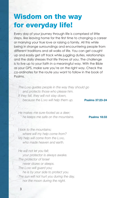# Wisdom on the way for everyday life!

Every day of your journey through life is comprised of little steps, like leaving home for the first time to changing a career or marrying your true love or raising a family. All this while being in strange surroundings and encountering people from different traditions and all walks of life. You can get caught up and easily get off track while juggling duties, relationships and the daily stresses that life throws at you. The challenge is to live up to your faith in a meaningful way. With the Bible as your GPS, make sure you're on the right way. Check the co-ordinates for the route you want to follow in the book of Psalms.

*The Lord guides people in the way they should go and protects those who please him. If they fall, they will not stay down, because the Lord will help them up.* **Psalms 37:23-24**

*He makes me sure-footed as a deer;*  **he keeps me safe on the mountains. Psalms 18:33** 

*I look to the mountains; where will my help come from? My help will come from the Lord, who made heaven and earth.* 

*He will not let you fall; your protector is always awake. The protector of Israel never dozes or sleeps. The Lord will guard you; he is by your side to protect you. The sun will not hurt you during the day, nor the moon during the night.*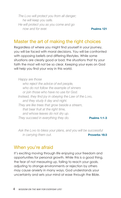*The Lord will protect you from all danger; he will keep you safe. He will protect you as you come and go now and for ever.* **Psalms 121** 

#### Master the art of making the right choices

Regardless of where you might find yourself in your journey, you will be faced with moral decisions. You will be confronted with opposing beliefs and differing lifestyles. While some situations are clearly good or bad, the situations that try your faith the most will not be so clear. Keeping your eyes on God will help you find your way in this world.

*Happy are those* 

*who reject the advice of evil people, who do not follow the example of sinners or join those who have no use for God. Instead, they find joy in obeying the Law of the Lord, and they study it day and night. They are like trees that grow beside a stream, that bear fruit at the right time, and whose leaves do not dry up. They succeed in everything they do.* **Psalms 1:1-3** 

*Ask the Lord to bless your plans, and you will be successful in carrying them out.* **Proverbs 16:3** 

#### When you're afraid

It's exciting moving through life enjoying your freedom and opportunities for personal growth. While this is a good thing, the fear of not measuring up, failing to reach your goals, adjusting to strange environments or rejection by others may cause anxiety in many ways. God understands your uncertainty and sets your mind at ease through the Bible.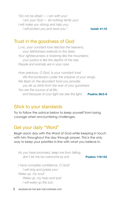*"Do not be afraid — I am with you! I am your God — let nothing terrify you! I will make you strong and help you; I will protect you and save you."* **Isaiah 41:10** 

#### Trust in the goodness of God

*Lord, your constant love reaches the heavens; your faithfulness extends to the skies. Your righteousness is towering like the mountains; your justice is like the depths of the sea. People and animals are in your care.*

*How precious, O God, is your constant love! We find protection under the shadow of your wings. We feast on the abundant food you provide; you let us drink from the river of your goodness. You are the source of all life, and because of your light we see the light.* **Psalms 36:5-9**

#### Stick to your standards

Try to follow the advice below to keep yourself from losing courage when encountering challenges.

## Get your daily "Word"

Begin each day with the Word of God while keeping in touch with him throughout the day through prayer. This is the only way to keep your priorities in line with what you believe in.

*As you have promised, keep me from falling;*  don't let me be overcome by evil. **Psalms 119:133** 

 *I have complete confidence, O God! I will sing and praise you! Wake up, my soul! Wake up, my harp and lyre! I will wake up the sun.*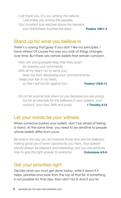*I will thank you, O Lord, among the nations. I will praise you among the peoples. Your constant love reaches above the heavens; your faithfulness touches the skies.* **Psalms 108:1-4** 

#### Stand up for what you believe in

There's a saying that goes: If you don't like my principles, I have others! Of course the way you look at things changes over time. But there are certain beliefs that remain constant.

*How can young people keep their lives pure? By obeying your commands. With all my heart I try to serve you; keep me from disobeying your commandments. I keep your law in my heart, so that I will not sin against you.* **Psalms 119:9-11** 

*Do not let anyone look down on you because you are young, but be an example for the believers in your speech, your conduct, your love, faith and purity.* **1 Timothy 4:12** 

#### Let your words be your witness

When someone bashes your beliefs, don't be afraid of taking a stand. At the same time, you need to be sensitive to people whose beliefs differ from yours.

*Be wise in the way you act towards those who are not believers, making good use of every opportunity you have. Your speech should always be pleasant and interesting, and you should know how to give the right answer to everyone.* **Colossians 4:5-6** 

#### Get your priorities right

Decide what you must get done today, write it down if it helps, prioritise and work from the top of that list. If something is not possible for that day, then don't list it! And if you're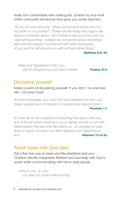really not comfortable with making lists, at least try and work within a broader framework that gives you some direction.

*"So do not start worrying: 'Where will my food come from? or my drink? or my clothes?' (These are the things the pagans are always concerned about.) Your Father in heaven knows that you need all these things. Instead, be concerned above everything else with the Kingdom of God and with what he requires of you, and he will provide you with all these other things."* 

**Matthew 6:31-33** 

*Seek your happiness in the Lord,*  and he will give you your heart's desire. **Psalms 37:4** 

#### Discipline yourself

Make a point of disciplining yourself. If you don't, no one else will – not even God!

*To have knowledge, you must first have reverence for the Lord. Stupid people have no respect for wisdom and refuse to learn.* 

#### **Proverbs 1:7**

*So then, let us rid ourselves of everything that gets in the way, and of the sin which holds on to us so tightly, and let us run with determination the race that lies before us. Let us keep our eyes fixed on Jesus, on whom our faith depends from beginning to end.* **Hebrews 12:1b-2a**

#### Touch base with God daily

This is the only way to keep your life prioritised and your Christian identity integrated. Refresh your soul daily with God's words while communicating with him in daily prayer.

*I pray to you, O Lord; you hear my voice in the morning;*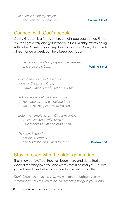*at sunrise I offer my prayer and wait for your answer.* **Psalms 5:2b-3**

#### Connect with God's people

God's kingdom is a family where we all need each other. Find a church right away and get involved in their ministry. Worshipping with fellow Christians can help keep you strong. Going to church at least once a week can help keep your focus.

*Raise your hands in prayer in the Temple, and praise the Lord!* **Psalms 134:2**

*Sing to the Lorp*, all the world! *Worship the Lord with joy; come before him with happy songs!* 

*Acknowledge that the Lord is God. He made us, and we belong to him; we are his people, we are his flock.* 

*Enter the Temple gates with thanksgiving, go into its courts with praise. Give thanks to him and praise him.* 

*The Lord is good; his love is eternal and his faithfulness lasts for ever.* **Psalms 100** 

#### Stay in touch with the older generation

They may be "old" but they've "been there and done that". Accept that they love you and want what is best for you. Besides, you will need their help and advice for the rest of your life.

*Don't forget what I teach you, my son* (and daughter)*. Always remember what I tell you to do. My teaching will give you a long*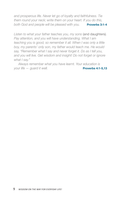*and prosperous life. Never let go of loyalty and faithfulness. Tie them round your neck; write them on your heart. If you do this, both God and people will be pleased with you.* **Proverbs 3:1-4** 

*Listen to what your father teaches you, my sons* (and daughters)*. Pay attention, and you will have understanding. What I am teaching you is good, so remember it all. When I was only a little boy, my parents' only son, my father would teach me. He would say, "Remember what I say and never forget it. Do as I tell you, and you will live. Get wisdom and insight! Do not forget or ignore what I say."* 

*Always remember what you have learnt. Your education is your life — guard it well.* **Proverbs 4:1-5,13**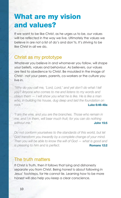# What are my vision and values?

If we want to be like Christ, as he urges us to be, our values will be reflected in the way we live. Ultimately the values we believe in are not a list of do's and don'ts. It's striving to be like Christ in all we do.

#### Christ as my prototype

Whatever you believe in and whomever you follow, will shape your beliefs, values and behaviour. As believers, our values are tied to obedience to Christ. Be moulded in the image of Christ - not your peers, parents, co-workers or the culture you live in.

*"Why do you call me, 'Lord, Lord,' and yet don't do what I tell you? Anyone who comes to me and listens to my words and obeys them — I will show you what he is like. He is like a man who, in building his house, dug deep and laid the foundation on rock."* **Luke 6:46-48a**

*"I am the vine, and you are the branches. Those who remain in me, and I in them, will bear much fruit; for you can do nothing without me."* **John 15:5**

*Do not conform yourselves to the standards of this world, but let God transform you inwardly by a complete change of your mind. Then you will be able to know the will of God — what is good and is pleasing to him and is perfect.* **Romans 12:2** 

#### The truth matters

If Christ is Truth, then it follows that lying and dishonesty separate you from Christ. Being honest is about following in Jesus' footsteps, for He cannot lie. Learning how to be more honest will also help you keep a clear conscience.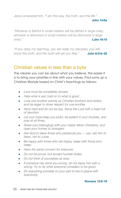*Jesus answered him, "I am the way, the truth, and the life."* 

#### **John 14:6a**

*"Whoever is faithful in small matters will be faithful in large ones; whoever is dishonest in small matters will be dishonest in large ones."* **Luke 16:10** 

*"If you obey my teaching, you are really my disciples; you will know the truth, and the truth will set you free."* **John 8:31b-32** 

## Christian values in less than a byte

The clearer you can be about what you believe, the easier it is to bring your priorities in line with your values. Paul sums up a Christian lifestyle based on Christ's teachings as follows:

- *Love must be completely sincere.*
- *Hate what is evil, hold on to what is good.*
- *Love one another warmly as Christian brothers and sisters, and be eager to show respect for one another.*
- *Work hard and do not be lazy. Serve the Lord with a heart full of devotion.*
- *Let your hope keep you joyful, be patient in your troubles, and pray at all times.*
- *Share your belongings with your needy fellow Christians, and open your homes to strangers.*
- Ask God to bless those who persecute you  $-$  yes, ask him to *bless, not to curse.*
- *Be happy with those who are happy, weep with those who weep.*
- *Have the same concern for everyone.*
- *Do not be proud, but accept humble duties.*
- *Do not think of yourselves as wise.*
- *If someone has done you wrong, do not repay him with a wrong. Try to do what everyone considers to be good.*
- *Do everything possible on your part to live in peace with everybody.*

#### **Romans 12:9-18**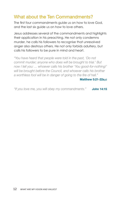## What about the Ten Commandments?

The first four commandments guide us on how to love God, and the last six guide us on how to love others.

Jesus addresses several of the commandments and highlights their application in his preaching. He not only condemns murder, he calls his followers to recognise that unresolved anger also destroys others. He not only forbids adultery, but calls his followers to be pure in mind and heart.

*"You have heard that people were told in the past, 'Do not commit murder; anyone who does will be brought to trial.' But now I tell you: ... whoever calls his brother 'You good-for-nothing!'*  will be brought before the Council, and whoever calls his brother *a worthless fool will be in danger of going to the fire of hell."* 

#### **Matthew 5:21-22a,c**

*"If you love me, you will obey my commandments."* **John 14:15**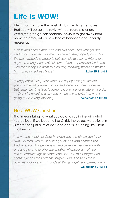# Life is WOW!

Life is short so make the most of it by creating memories that you will be able to revisit without regrets later on. Avoid the prodigal son scenario. Anxious to get away from home he enters into a new kind of bondage and seriously messes up.

*"There was once a man who had two sons. The younger one said to him, 'Father, give me my share of the property now.' So the man divided his property between his two sons. After a few days the younger son sold his part of the property and left home with the money. He went to a country far away, where he wasted his money in reckless living."* **Luke 15:11b-13**

*Young people, enjoy your youth. Be happy while you are still young. Do what you want to do, and follow your heart's desire. But remember that God is going to judge you for whatever you do. Don't let anything worry you or cause you pain. You aren't going to be young very long.* **Ecclesiastes 11:9-10**

#### Be a WOW Christian

That means bringing what you do and say in line with what you believe. If we become like Christ, the values we believe in is more than just a list of do's and don'ts. It's being like Christ in all we do.

*You are the people of God; he loved you and chose you for his own. So then, you must clothe yourselves with compassion, kindness, humility, gentleness, and patience. Be tolerant with one another and forgive one another whenever any of you has a complaint against someone else. You must forgive one another just as the Lord has forgiven you. And to all these qualities add love, which binds all things together in perfect unity.* 

**Colossians 3:12-14**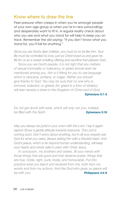#### Know where to draw the line

Peer pressure often creeps in when you're amongst people of your own age group or when you're in new surroundings and desperately want to fit in. A regular reality check about who you are and what you stand for will help to keep you on track. Remember the old saying: "If you don't know what you stand for, you'll fall for anything."

*Since you are God's dear children, you must try to be like him. Your life must be controlled by love, just as Christ loved us and gave his life for us as a sweet-smelling offering and sacrifice that pleases God.* 

*Since you are God's people, it is not right that any matters of sexual immorality or indecency or greed should even be mentioned among you. Nor is it fitting for you to use language which is obscene, profane, or vulgar. Rather you should give thanks to God. You may be sure that no one who is immoral, indecent, or greedy (for greed is a form of idolatry) will ever receive a share in the Kingdom of Christ and of God.* 

**Ephesians 5:1-5** 

*Do not get drunk with wine, which will only ruin you; instead,*  **be filled with the Spirit. Ephesians 5:18** 

*May you always be joyful in your union with the Lord. I say it again: rejoice! Show a gentle attitude towards everyone. The Lord is coming soon. Don't worry about anything, but in all your prayers ask God for what you need, always asking him with a thankful heart. And God's peace, which is far beyond human understanding, will keep your hearts and minds safe in union with Christ Jesus.* 

*In conclusion, my brothers and sisters, fill your minds with those things that are good and that deserve praise: things that are true, noble, right, pure, lovely, and honourable. Put into practice what you learnt and received from me, both from my*  words and from my actions. And the God who gives us peace will *be with you.* **Philippians 4:4-9**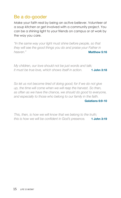## Be a do-gooder

Make your faith real by being an active believer. Volunteer at a soup kitchen or get involved with a community project. You can be a shining light to your friends on campus or at work by the way you care.

*"In the same way your light must shine before people, so that they will see the good things you do and praise your Father in heaven."* **Matthew 5:16** 

*My children, our love should not be just words and talk; it must be true love, which shows itself in action.* **1 John 3:18**

*So let us not become tired of doing good; for if we do not give up, the time will come when we will reap the harvest. So then, as often as we have the chance, we should do good to everyone, and especially to those who belong to our family in the faith.* 

#### **Galatians 6:9-10**

*This, then, is how we will know that we belong to the truth; this is how we will be confident in God's presence.* **1 John 3:19**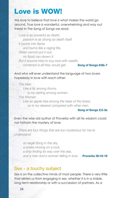# Love is WOW!

We love to believe that love is what makes the world go around. True love is wonderful, overwhelming and way out there! In The Song of Songs we read:

*Love is as powerful as death; passion is as strong as death itself. It bursts into flame and burns like a raging fire. Water cannot put it out; no flood can drown it. But if anyone tried to buy love with wealth, contempt is all they would get.* **Song of Songs 8:6b-7** 

And who will ever understand the language of two lovers hopelessly in love with each other:

*The Man Like a lily among thorns is my darling among women. The Woman Like an apple tree among the trees of the forest, so is my dearest compared with other men.* 

#### **Song of Songs 2:2-3a**

Even the wise old author of Proverbs with all his wisdom could not fathom the mystery of love:

*There are four things that are too mysterious for me to understand:* 

> *an eagle flying in the sky, a snake moving on a rock, a ship finding its way over the sea, and a man and a woman falling in love.* **Proverbs 30:18-19**

#### Sex - a touchy subject

Sex is on the collective minds of most people. There is very little that deters us from engaging in sex, whether it is in a stable, long-term relationship or with a succession of partners. As a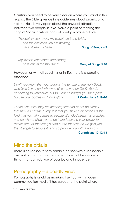Christian, you need to be very clear on where you stand in this regard. The Bible gives definite guidelines about promiscuity. Yet the Bible is very open about the physical attraction between two people in love. Make a point of reading the Song of Songs, a whole book of poetry in praise of love:

*The look in your eyes, my sweetheart and bride, and the necklace you are wearing*  **have stolen my heart. Song of Songs 4:9** 

*My lover is handsome and strong; he is one in ten thousand.* **Song of Songs 5:10** 

#### However, as with all good things in life, there is a condition attached:

*Don't you know that your body is the temple of the Holy Spirit, who lives in you and who was given to you by God? You do not belong to yourselves but to God; he bought you for a price. So use your bodies for God's glory.* **1 Corinthians 6:19-20** 

*Those who think they are standing firm had better be careful that they do not fall. Every test that you have experienced is the kind that normally comes to people. But God keeps his promise, and he will not allow you to be tested beyond your power to remain firm; at the time you are put to the test, he will give you the strength to endure it, and so provide you with a way out.* 

#### **1 Corinthians 10:12-13**

#### Mind the pitfalls

There is no reason for any sensible person with a reasonable amount of common sense to dread life. But be aware of things that can rob you of your joy and innocence.

#### Pornography – a deadly virus

Pornography is as old as mankind itself but with modern communication media it has spread to the point where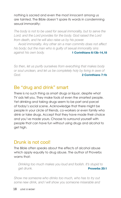nothing is sacred and even the most innocent among us are tainted. The Bible doesn't spare its words in condemning sexual immorality:

*The body is not to be used for sexual immorality, but to serve the Lord; and the Lord provides for the body. God raised the Lord from death, and he will also raise us by his power.* 

*Avoid immorality. Any other sin a man commits does not affect his body; but the man who is guilty of sexual immorality sins against his own body.* **1 Corinthians 6:13b-14,18**

*So then, let us purify ourselves from everything that makes body or soul unclean, and let us be completely holy by living in awe of God.* **2 Corinthians 7:1b** 

#### Be "drug and drink" smart

There is no such thing as smart drugs or liquor, despite what TV ads tell you. They make fools of even the smartest people. Yet drinking and taking drugs seem to be part and parcel of today's social scene. Acknowledge that there might be people in your circle of friends, co-workers or even family who drink or take drugs. Accept that they have made their choice and you've made yours. Choose to surround yourself with people that can have fun without using drugs and alcohol to get high.

## Drunk is not cool!

The Bible often speaks about the effects of alcohol abuse which apply equally to drug abuse. The author of Proverbs warns that:

*Drinking too much makes you loud and foolish. It's stupid to get drunk.* **Proverbs 20:1** 

*Show me someone who drinks too much, who has to try out some new drink, and I will show you someone miserable and*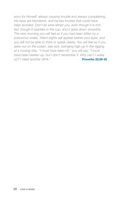*sorry for himself, always causing trouble and always complaining. His eyes are bloodshot, and he has bruises that could have been avoided. Don't let wine tempt you, even though it is rich red, though it sparkles in the cup, and it goes down smoothly. The next morning you will feel as if you had been bitten by a poisonous snake. Weird sights will appear before your eyes, and you will not be able to think or speak clearly. You will feel as if you were out on the ocean, sea-sick, swinging high up in the rigging of a tossing ship. "I must have been hit," you will say; "I must have been beaten up, but I don't remember it. Why can't I wake*  **up**? I need another drink." **Proverbs 23:29-35**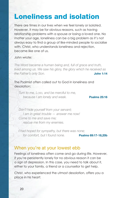# Loneliness and isolation

There are times in our lives when we feel lonely or isolated. However, it may be for obvious reasons, such as having relationship problems with a spouse or losing a loved one. No matter your age, loneliness can be a big problem as it's not always easy to find a group of like-minded people to socialise with. Christ, who understands loneliness and rejection, became like one of us.

#### John wrote:

*The Word became a human being and, full of grace and truth, lived among us. We saw his glory, the glory which he received as the Father's only Son.* **John 1:14**

The Psalmist often called out to God in loneliness and desolation:

*Turn to me, Lord, and be merciful to me,*  **because I am lonely and weak. Psalms 25:16** 

*Don't hide yourself from your servant; I am in great trouble — answer me now! Come to me and save me; rescue me from my enemies.* 

*I had hoped for sympathy, but there was none; for comfort, but I found none.* **Psalms 69:17-18,20b**

#### When you're at your lowest ebb

Feelings of loneliness often come and go during life. However, if you're persistently lonely for no obvious reason it can be a sign of depression. In this case, you need to talk about it, either to your family, a friend or a counsellor to get help.

Christ, who experienced the utmost desolation, offers you a place in his heart: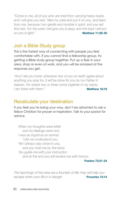*"Come to me, all of you who are tired from carrying heavy loads, and I will give you rest. Take my yoke and put it on you, and learn*  from me, because I am gentle and humble in spirit; and you will *find rest. For the yoke I will give you is easy, and the load I will put*  **on** you is light."

## Join a Bible Study group

This is the fastest way of connecting with people you feel comfortable with. If you cannot find a fellowship group, try getting a Bible study group together. Put up a flyer in your area, shop or even at work, and you will be amazed at the response you get.

*"And I tell you more: whenever two of you on earth agree about anything you pray for, it will be done for you by my Father in heaven. For where two or three come together in my name, I* am there with them." **All am the way of the Matthew 18:19** 

#### Recalculate your destination

If you feel you're losing your way, don't be ashamed to ask a fellow Christian for prayer or inspiration. Talk to your pastor for advice.

*When my thoughts were bitter and my feelings were hurt, I was as stupid as an animal; I did not understand you. Yet I always stay close to you, and you hold me by the hand. You guide me with your instruction and at the end you will receive me with honour.* 

**Psalms 73:21-24** 

*The teachings of the wise are a fountain of life; they will help you*  **escape when your life is in danger. Proverbs 13:14**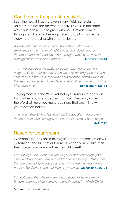## Don't forget to upgrade regularly!

Learning new things is a given in any field. Yesterday's solutions are not the answer to today's issues. In the same way your faith needs to grow with you. Growth comes through reading and hearing the Word of God as well as studying and praying with other believers.

*Anyone who has to drink milk is still a child, without any experience in the matter of right and wrong. Solid food, on the other hand, is for adults, who through practice are able to*  distinguish between good and evil. **Hebrews 5:13-14** 

*… we shall become mature people, reaching to the very height of Christ's full stature. Then we shall no longer be children, carried by the waves and blown about by every shifting wind of the teaching of deceitful people, who lead others into error by the tricks they invent.* **Ephesians 4:13b-14** 

Staying rooted in the Word will help you remain true to your faith. When you are faced with a moral dilemma, knowing the Word will help you make decisions that are in line with your Christian beliefs.

*They spent their time in learning from the apostles, taking part in the fellowship, and sharing in the fellowship meals and the prayers.*  **Acts 2:42** 

## Reach for your dream

Everyone's journey has a few significant life choices which will determine their success or failure. How can you be sure that the choices you make will be the right ones?

*Whatever you do, work at it with all your heart, as though you were working for the Lord and not for human beings. Remember that the Lord will give you as a reward what he has kept for his people. For Christ is the real Master you serve.* **Colossians 3:23-24** 

*I do not claim that I have already succeeded or have already become perfect. I keep striving to win the prize for which Christ*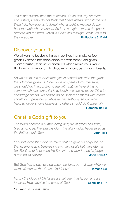*Jesus has already won me to himself. Of course, my brothers and sisters, I really do not think that I have already won it; the one thing I do, however, is to forget what is behind me and do my best to reach what is ahead. So I run straight towards the goal in order to win the prize, which is God's call through Christ Jesus to the life above.* **Philippians 3:12-14** 

## Discover your gifts

We all want to be doing things in our lives that make us feel great. Everyone has been endowed with some God-given characteristics, features or aptitudes which make you unique. That is why it is important to discover your unique gifts and talents.

*So we are to use our different gifts in accordance with the grace that God has given us. If our gift is to speak God's message, we should do it according to the faith that we have; if it is to serve, we should serve; if it is to teach, we should teach; if it is to encourage others, we should do so. Whoever shares with others should do it generously; whoever has authority should work hard; whoever shows kindness to others should do it cheerfully.* 

**Romans 12:6-8** 

# Christ is God's gift to you

*The Word became a human being and, full of grace and truth, lived among us. We saw his glory, the glory which he received as the Father's only Son.* **John 1:14** 

*For God loved the world so much that he gave his only Son, so that everyone who believes in him may not die but have eternal life. For God did not send his Son into the world to be its judge, but to be its saviour.* **John 3:16-17** 

*But God has shown us how much he loves us — it was while we were still sinners that Christ died for us!* **Romans 5:8** 

*For by the blood of Christ we are set free, that is, our sins are forgiven. How great is the grace of God.* **Ephesians 1:7**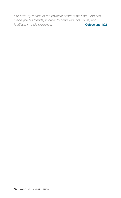*But now, by means of the physical death of his Son, God has made you his friends, in order to bring you, holy, pure, and faultless, into his presence.* **Colossians 1:22**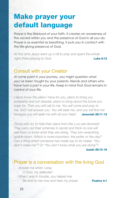# Make prayer your default language

Prayer is the lifeblood of your faith. It creates an awareness of the sacred within you and the presence of God in all you do. Prayer is as essential as breathing. It puts you in contact with the life-giving presence of God.

*At that time Jesus went up a hill to pray and spent the whole night there praying to God.* **Luke 6:12** 

## Consult with your Creator

At some point in your journey, you might question what you've been taught by your parents, friends and others who have had a part in your life. Keep in mind that God remains in control of your life.

*I alone know the plans I have for you, plans to bring you prosperity and not disaster, plans to bring about the future you hope for. Then you will call to me. You will come and pray to me, and I will answer you. You will seek me, and you will find me because you will seek me with all your heart.* **Jeremiah 29:11-13**

*Those who try to hide their plans from the Lorp are doomed! They carry out their schemes in secret and think no one will see them or know what they are doing. They turn everything upside down. Which is more important, the potter or the clay? Can a thing which someone has made say to its maker, "You didn't make me"? Or "You don't know what you are doing"?* 

**Isaiah 29:15-16** 

#### Prayer is a conversation with the living God

*Answer me when I pray, O God, my defender! When I was in trouble, you helped me.*  Be kind to me now and hear my prayer. **Psalms 4:1**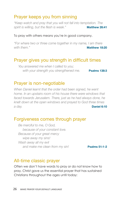# 26 *Make prayer your default language*

# Prayer keeps you from sinning

*"Keep watch and pray that you will not fall into temptation. The*  spirit is willing, but the flesh is weak." **Matthew 26:41** 

#### To pray with others means you're in good company.

*"For where two or three come together in my name, I am there with them."* **Matthew 18:20**

# Prayer gives you strength in difficult times

*You answered me when I called to you;*  with your strength you strengthened me. **Psalms 138:3** 

## Prayer is non-negotiable

*When Daniel learnt that the order had been signed, he went home. In an upstairs room of his house there were windows that faced towards Jerusalem. There, just as he had always done, he knelt down at the open windows and prayed to God three times a day.* **Daniel 6:10** 

#### Forgiveness comes through prayer

*Be merciful to me, O God, because of your constant love. Because of your great mercy wipe away my sins! Wash away all my evil*  and make me clean from my sin! **Psalms 51:1-2** 

## All-time classic prayer

Often we don't have words to pray or do not know how to pray. Christ gave us the essential prayer that has sustained Christians throughout the ages until today: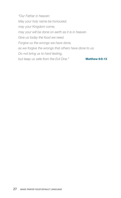*"Our Father in heaven: May your holy name be honoured; may your Kingdom come; may your will be done on earth as it is in heaven. Give us today the food we need. Forgive us the wrongs we have done, as we forgive the wrongs that others have done to us. Do not bring us to hard testing,*  **but keep us safe from the Evil One." Matthew 6:9-13**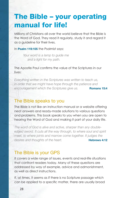# The Bible – your operating manual for life!

Millions of Christians all over the world believe that the Bible is the Word of God. They read it regularly, study it and regard it as a guideline for their lives.

In **Psalm 119:105** the Psalmist says:

*Your word is a lamp to guide me and a light for my path.*

#### The Apostle Paul confirms the value of the Scriptures in our lives:

*Everything written in the Scriptures was written to teach us, in order that we might have hope through the patience and encouragement which the Scriptures give us.* **Romans 15:4**

#### The Bible speaks to you

The Bible is not like an instruction manual or a website offering neat answers and ready-made solutions to various questions and problems. This book speaks to you when you are open to hearing the Word of God and making it part of your daily life.

*The word of God is alive and active, sharper than any double*edged sword. It cuts all the way through, to where soul and spirit *meet, to where joints and marrow come together. It judges the desires and thoughts of the heart.* **Hebrews 4:12** 

#### The Bible is your GPS

It covers a wide range of issues, events and real-life situations that confront readers today. Many of these questions are addressed by way of example, advice and admonishment, as well as direct instructions.

If, at times, it seems as if there is no Scripture passage which can be applied to a specific matter, there are usually broad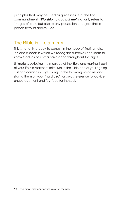principles that may be used as guidelines, e.g. the first commandment, *"Worship no god but me"* not only refers to images of idols, but also to any possession or object that a person favours above God.

#### The Bible is like a mirror

This is not only a book to consult in the hope of finding help; it is also a book in which we recognise ourselves and learn to know God, as believers have done throughout the ages.

Ultimately, believing the message of the Bible and making it part of your life is a matter of faith. Make the Bible part of your "going out and coming in" by looking up the following Scriptures and storing them on your "hard disc" for quick reference for advice, encouragement and fast food for the soul.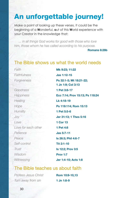# An unforgettable journey!

Make a point of looking up these verses. It could be the beginning of a **W**onderful, **o**ut of this **W**orld experience with your Creator in the knowledge that:

*... in all things God works for good with those who love him, those whom he has called according to his purpose.* 

**Romans 8:28b**

#### The Bible shows us what the world needs

*Faithfulness* **Jas 1:12-15** *Goodness* **1 Pet 3:8-17** *Healing* **Lk 4:18-19** *Humility* **1 Pet 5:5-6** *Love* **1 Cor 13** *Love for each other* **1 Pet 4:8** *Patience* **Jas 5:7-11** *Peace* **Is 26:3; Phil 4:6-7** *Self-control* **Tit 2:1-10** *Trust* **Is 12:2; Prov 3:5** *Wisdom* **Prov 1:7**

*Faith* **Mk 9:23; 11:22** *Forgiveness* **Ps 32:1-5; Mt 18:21-22; 1 Jn 1:9; Col 3:13** *Happiness* **Ecc 7:14; Prov 15:13; Ps 118:24** *Hope* **Ps 119:114; Rom 15:13** *Joy* **Jer 31:13; 1 Thes 5:16** *Witnessing* **Jer 1:4-10; Acts 1:8**

#### The Bible teaches us about faith

*Profess Jesus Christ* **Rom 10:9-10,13** *Turn away from sin* **1 Jn 1:8-9**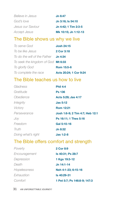| Believe in Jesus  | <b>Jn 6:47</b>       |
|-------------------|----------------------|
| God's love        | Jn 3:16; Is 54:10    |
| Jesus our Saviour | Jn 4:42: 1 Tim 2:3-5 |
| Accept Jesus      | Mk 10:15; Jn 1:12-13 |

#### The Bible shows us why we live

| To serve God                       | <b>Josh 24:15</b>      |
|------------------------------------|------------------------|
| To be like Jesus                   | 2 Cor 3:18             |
| To do the will of the Father       | Jn 4:34                |
| To seek the kingdom of God Mt 6:33 |                        |
| To glorify God                     | Rom 15:5-6             |
| To complete the race               | Acts 20:24; 1 Cor 9:24 |

#### The Bible teaches us how to live

| Gladness           | <b>Phil 4:4</b>                 |
|--------------------|---------------------------------|
| Gratitude          | <b>Ps 136</b>                   |
| Obedience          | Acts 5:29; Jas 4:17             |
| Integrity          | <b>Jas 5:12</b>                 |
| Victory            | <b>Rom 12:21</b>                |
| Perseverance       | Josh 1:6-9; 2 Tim 4:7; Heb 12:1 |
| Jov                | Ps 16:11; 1 Thes 5:16           |
| Freedom            | Gal 5:10-16                     |
| Truth              | Jn 8:32                         |
| Doing what's right | <b>Jas 1:2-8</b>                |

# The Bible offers comfort and strength

| 2 Cor 8:9                    |
|------------------------------|
| Is 40:31; Ps 28:7            |
| 1 Kgs 19:3-12                |
| Jn 14:1-14                   |
| Neh 4:1-23; 6:15-16          |
| Is 40:29-31                  |
| 1 Pet 5:7; Ps 146:8-9; 147:3 |
|                              |